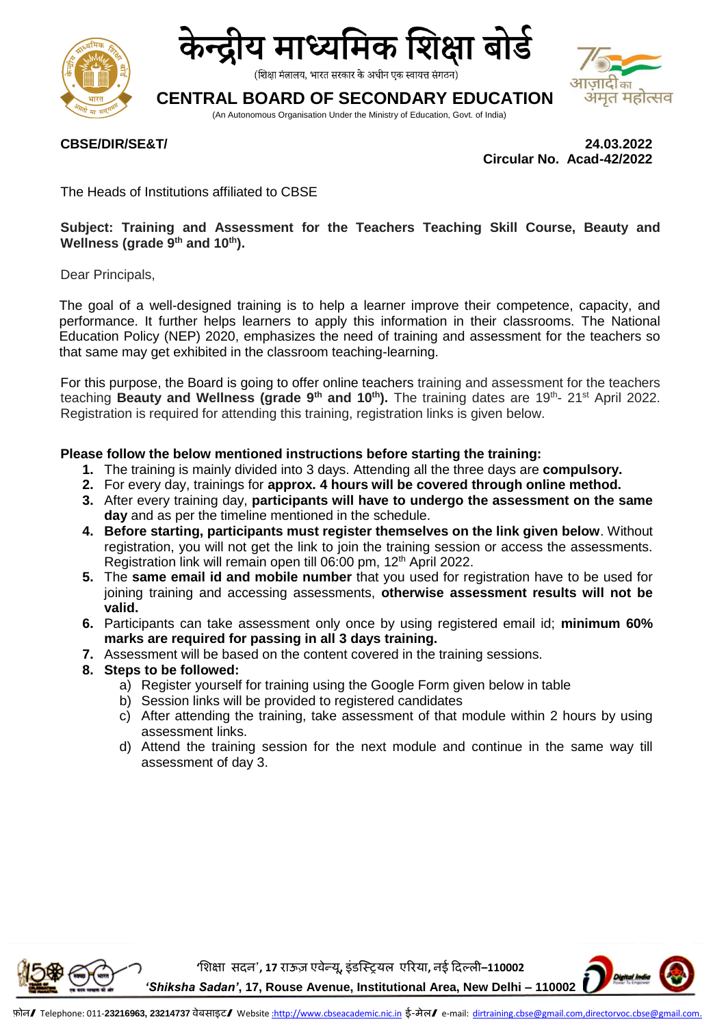



(शिक्षा मंत्रालय, भारत सरकार के अधीन एक स्वायत्त संगठन)

# **CENTRAL BOARD OF SECONDARY EDUCATION**

(An Autonomous Organisation Under the Ministry of Education, Govt. of India)



**CBSE/DIR/SE&T/ 24.03.2022 Circular No. Acad-42/2022** 

The Heads of Institutions affiliated to CBSE

### **Subject: Training and Assessment for the Teachers Teaching Skill Course, Beauty and Wellness (grade 9th and 10th).**

Dear Principals,

The goal of a well-designed training is to help a learner improve their competence, capacity, and performance. It further helps learners to apply this information in their classrooms. The National Education Policy (NEP) 2020, emphasizes the need of training and assessment for the teachers so that same may get exhibited in the classroom teaching-learning.

For this purpose, the Board is going to offer online teachers training and assessment for the teachers teaching Beauty and Wellness (grade 9<sup>th</sup> and 10<sup>th</sup>). The training dates are 19<sup>th</sup>- 21<sup>st</sup> April 2022. Registration is required for attending this training, registration links is given below.

#### **Please follow the below mentioned instructions before starting the training:**

- **1.** The training is mainly divided into 3 days. Attending all the three days are **compulsory.**
- **2.** For every day, trainings for **approx. 4 hours will be covered through online method.**
- **3.** After every training day, **participants will have to undergo the assessment on the same day** and as per the timeline mentioned in the schedule.
- **4. Before starting, participants must register themselves on the link given below**. Without registration, you will not get the link to join the training session or access the assessments. Registration link will remain open till 06:00 pm, 12<sup>th</sup> April 2022.
- **5.** The **same email id and mobile number** that you used for registration have to be used for joining training and accessing assessments, **otherwise assessment results will not be valid.**
- **6.** Participants can take assessment only once by using registered email id; **minimum 60% marks are required for passing in all 3 days training.**
- **7.** Assessment will be based on the content covered in the training sessions.
- **8. Steps to be followed:**
	- a) Register yourself for training using the Google Form given below in table
	- b) Session links will be provided to registered candidates
	- c) After attending the training, take assessment of that module within 2 hours by using assessment links.
	- d) Attend the training session for the next module and continue in the same way till assessment of day 3.

**'शिक्षा सदन', 17 राऊज़ एवेन्यू, इंडस्ट्रियल एररया, नई ददल्ली–110002** *'Shiksha Sadan'***, 17, Rouse Avenue, Institutional Area, New Delhi – 110002**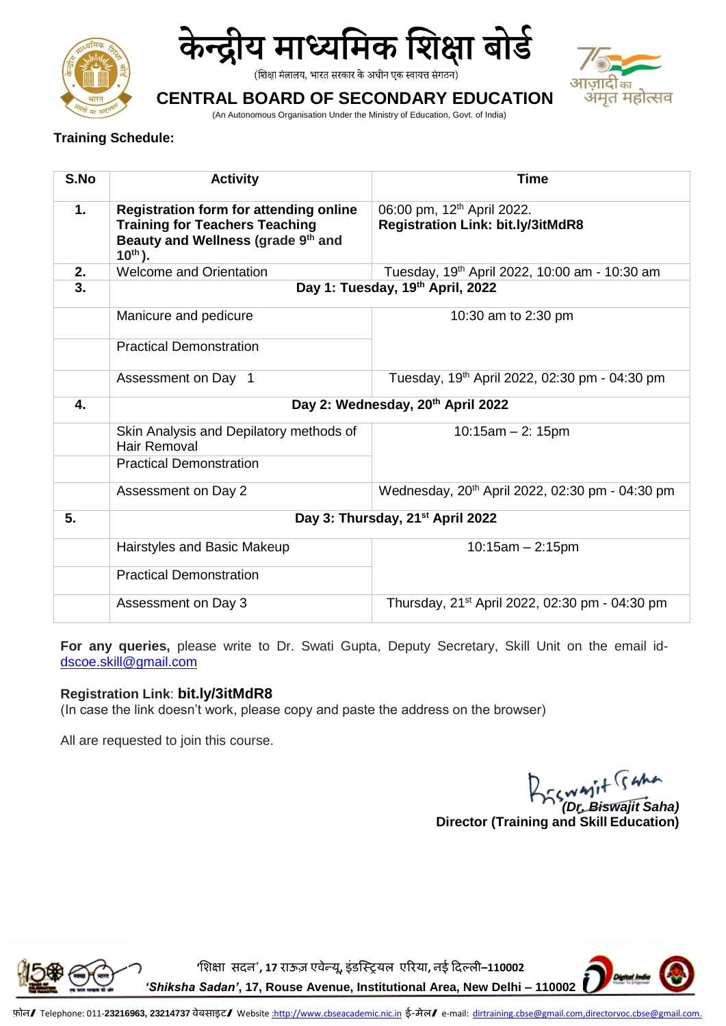



(शिक्षा मंत्रालय, भारत सरकार के अधीन एक स्वायत्त संगठन)



# **CENTRAL BOARD OF SECONDARY EDUCATION**

(An Autonomous Organisation Under the Ministry of Education, Govt. of India)

## **Training Schedule:**

| S.No | <b>Activity</b>                                                                                                                              | <b>Time</b>                                                                        |
|------|----------------------------------------------------------------------------------------------------------------------------------------------|------------------------------------------------------------------------------------|
| 1.   | <b>Registration form for attending online</b><br><b>Training for Teachers Teaching</b><br>Beauty and Wellness (grade 9th and<br>$10^{th}$ ). | 06:00 pm, 12 <sup>th</sup> April 2022.<br><b>Registration Link: bit.ly/3itMdR8</b> |
| 2.   | <b>Welcome and Orientation</b>                                                                                                               | Tuesday, 19 <sup>th</sup> April 2022, 10:00 am - 10:30 am                          |
| 3.   | Day 1: Tuesday, 19th April, 2022                                                                                                             |                                                                                    |
|      | Manicure and pedicure                                                                                                                        | 10:30 am to 2:30 pm                                                                |
|      | <b>Practical Demonstration</b>                                                                                                               |                                                                                    |
|      | Assessment on Day 1                                                                                                                          | Tuesday, 19 <sup>th</sup> April 2022, 02:30 pm - 04:30 pm                          |
| 4.   | Day 2: Wednesday, 20 <sup>th</sup> April 2022                                                                                                |                                                                                    |
|      | Skin Analysis and Depilatory methods of<br>Hair Removal                                                                                      | $10:15am - 2:15pm$                                                                 |
|      | <b>Practical Demonstration</b>                                                                                                               |                                                                                    |
|      | Assessment on Day 2                                                                                                                          | Wednesday, 20 <sup>th</sup> April 2022, 02:30 pm - 04:30 pm                        |
| 5.   | Day 3: Thursday, 21 <sup>st</sup> April 2022                                                                                                 |                                                                                    |
|      | Hairstyles and Basic Makeup                                                                                                                  | $10:15am - 2:15pm$                                                                 |
|      | <b>Practical Demonstration</b>                                                                                                               |                                                                                    |
|      | Assessment on Day 3                                                                                                                          | Thursday, 21 <sup>st</sup> April 2022, 02:30 pm - 04:30 pm                         |

**For any queries,** please write to Dr. Swati Gupta, Deputy Secretary, Skill Unit on the email id[dscoe.skill@gmail.com](mailto:dscoe.skill@gmail.com)

## **Registration Link**: **bit.ly/3itMdR8**

(In case the link doesn't work, please copy and paste the address on the browser)

All are requested to join this course.

*(Dr. Biswajit Saha)*  **Director (Training and Skill Education)**



**'शिक्षा सदन', 17 राऊज़ एवेन्यू, इंडस्ट्रियल एररया, नई ददल्ली–110002**

*'Shiksha Sadan'***, 17, Rouse Avenue, Institutional Area, New Delhi – 110002**